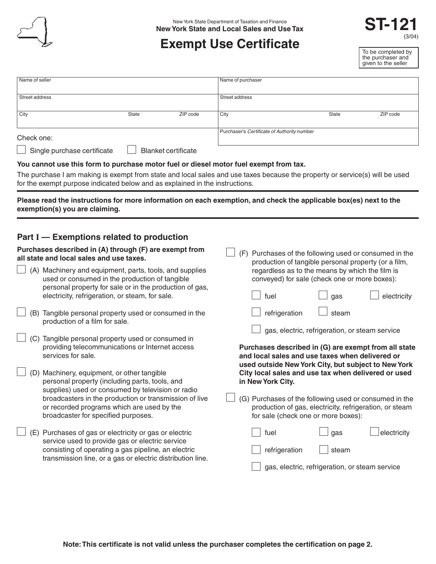

# **Exempt Use Certificate**

**ST-121** (3/04)

To be completed by the purchaser and given to the seller

| Name of seller                                                                                                                                                                                                                                                                                                                                                                                                                                                                                                                                                                                                                                          | Name of purchaser                                                                                                                                                                                                                                                                                                                                                                                                                                                                                                                                     |
|---------------------------------------------------------------------------------------------------------------------------------------------------------------------------------------------------------------------------------------------------------------------------------------------------------------------------------------------------------------------------------------------------------------------------------------------------------------------------------------------------------------------------------------------------------------------------------------------------------------------------------------------------------|-------------------------------------------------------------------------------------------------------------------------------------------------------------------------------------------------------------------------------------------------------------------------------------------------------------------------------------------------------------------------------------------------------------------------------------------------------------------------------------------------------------------------------------------------------|
| Street address                                                                                                                                                                                                                                                                                                                                                                                                                                                                                                                                                                                                                                          | Street address                                                                                                                                                                                                                                                                                                                                                                                                                                                                                                                                        |
| City<br><b>State</b><br>ZIP code                                                                                                                                                                                                                                                                                                                                                                                                                                                                                                                                                                                                                        | City<br>ZIP code<br><b>State</b>                                                                                                                                                                                                                                                                                                                                                                                                                                                                                                                      |
| Check one:                                                                                                                                                                                                                                                                                                                                                                                                                                                                                                                                                                                                                                              | Purchaser's Certificate of Authority number                                                                                                                                                                                                                                                                                                                                                                                                                                                                                                           |
| Single purchase certificate<br><b>Blanket certificate</b>                                                                                                                                                                                                                                                                                                                                                                                                                                                                                                                                                                                               |                                                                                                                                                                                                                                                                                                                                                                                                                                                                                                                                                       |
| You cannot use this form to purchase motor fuel or diesel motor fuel exempt from tax.                                                                                                                                                                                                                                                                                                                                                                                                                                                                                                                                                                   |                                                                                                                                                                                                                                                                                                                                                                                                                                                                                                                                                       |
| The purchase I am making is exempt from state and local sales and use taxes because the property or service(s) will be used<br>for the exempt purpose indicated below and as explained in the instructions.                                                                                                                                                                                                                                                                                                                                                                                                                                             |                                                                                                                                                                                                                                                                                                                                                                                                                                                                                                                                                       |
| Please read the instructions for more information on each exemption, and check the applicable box(es) next to the<br>exemption(s) you are claiming.                                                                                                                                                                                                                                                                                                                                                                                                                                                                                                     |                                                                                                                                                                                                                                                                                                                                                                                                                                                                                                                                                       |
| Part I – Exemptions related to production<br>Purchases described in (A) through (F) are exempt from<br>all state and local sales and use taxes.<br>(A) Machinery and equipment, parts, tools, and supplies<br>used or consumed in the production of tangible<br>personal property for sale or in the production of gas,<br>electricity, refrigeration, or steam, for sale.<br>(B) Tangible personal property used or consumed in the<br>production of a film for sale.<br>(C) Tangible personal property used or consumed in<br>providing telecommunications or Internet access<br>services for sale.<br>Machinery, equipment, or other tangible<br>(D) | (F) Purchases of the following used or consumed in the<br>production of tangible personal property (or a film,<br>regardless as to the means by which the film is<br>conveyed) for sale (check one or more boxes):<br>fuel<br>electricity<br>gas<br>refrigeration<br>steam<br>gas, electric, refrigeration, or steam service<br>Purchases described in (G) are exempt from all state<br>and local sales and use taxes when delivered or<br>used outside New York City, but subject to New York<br>City local sales and use tax when delivered or used |
| personal property (including parts, tools, and<br>supplies) used or consumed by television or radio<br>broadcasters in the production or transmission of live<br>or recorded programs which are used by the<br>broadcaster for specified purposes.<br>Purchases of gas or electricity or gas or electric<br>(E)<br>service used to provide gas or electric service<br>consisting of operating a gas pipeline, an electric<br>transmission line, or a gas or electric distribution line.                                                                                                                                                                 | in New York City.<br>(G) Purchases of the following used or consumed in the<br>production of gas, electricity, refrigeration, or steam<br>for sale (check one or more boxes):<br>electricity<br>fuel<br>gas<br>refrigeration<br>steam<br>gas, electric, refrigeration, or steam service                                                                                                                                                                                                                                                               |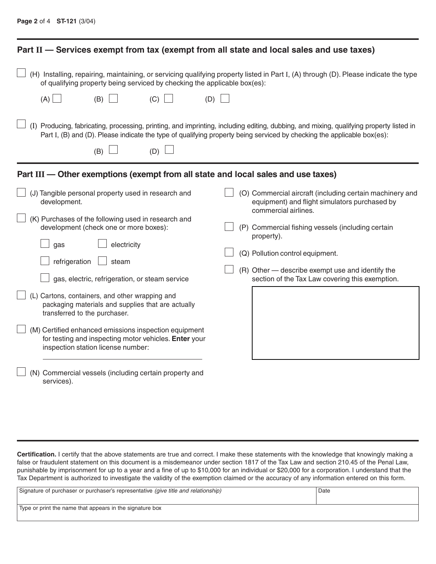| Part II - Services exempt from tax (exempt from all state and local sales and use taxes)                                                             |                                                                                                                                         |  |
|------------------------------------------------------------------------------------------------------------------------------------------------------|-----------------------------------------------------------------------------------------------------------------------------------------|--|
| of qualifying property being serviced by checking the applicable box(es):                                                                            | (H) Installing, repairing, maintaining, or servicing qualifying property listed in Part I, (A) through (D). Please indicate the type    |  |
| (A)<br>(C)<br>(B)<br>(D)                                                                                                                             |                                                                                                                                         |  |
| Part I, (B) and (D). Please indicate the type of qualifying property being serviced by checking the applicable box(es):<br>$(D)$ $\Box$<br>(B)       | (I) Producing, fabricating, processing, printing, and imprinting, including editing, dubbing, and mixing, qualifying property listed in |  |
| Part III - Other exemptions (exempt from all state and local sales and use taxes)                                                                    |                                                                                                                                         |  |
| (J) Tangible personal property used in research and<br>development.                                                                                  | (O) Commercial aircraft (including certain machinery and<br>equipment) and flight simulators purchased by<br>commercial airlines.       |  |
| (K) Purchases of the following used in research and<br>development (check one or more boxes):                                                        | (P) Commercial fishing vessels (including certain<br>property).                                                                         |  |
| electricity<br>gas<br>refrigeration<br>steam                                                                                                         | (Q) Pollution control equipment.                                                                                                        |  |
| gas, electric, refrigeration, or steam service                                                                                                       | (R) Other - describe exempt use and identify the<br>section of the Tax Law covering this exemption.                                     |  |
| (L) Cartons, containers, and other wrapping and<br>packaging materials and supplies that are actually<br>transferred to the purchaser.               |                                                                                                                                         |  |
| (M) Certified enhanced emissions inspection equipment<br>for testing and inspecting motor vehicles. Enter your<br>inspection station license number: |                                                                                                                                         |  |
| (N) Commercial vessels (including certain property and<br>services).                                                                                 |                                                                                                                                         |  |

**Certification.** I certify that the above statements are true and correct. I make these statements with the knowledge that knowingly making a false or fraudulent statement on this document is a misdemeanor under section 1817 of the Tax Law and section 210.45 of the Penal Law, punishable by imprisonment for up to a year and a fine of up to \$10,000 for an individual or \$20,000 for a corporation. I understand that the Tax Department is authorized to investigate the validity of the exemption claimed or the accuracy of any information entered on this form.

| Signature of purchaser or purchaser's representative (give title and relationship) | Date |
|------------------------------------------------------------------------------------|------|
| Type or print the name that appears in the signature box                           |      |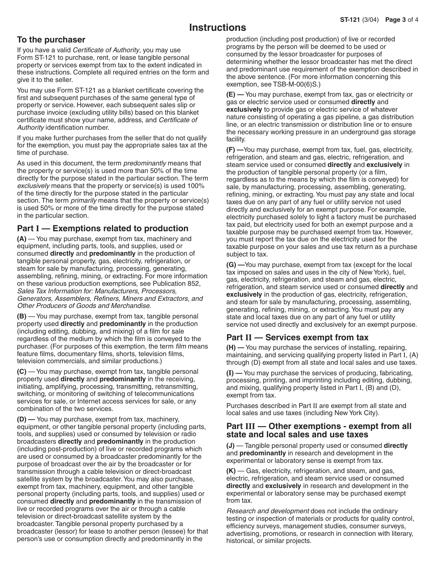## **Instructions**

### **To the purchaser**

If you have a valid Certificate of Authority, you may use Form ST-121 to purchase, rent, or lease tangible personal property or services exempt from tax to the extent indicated in these instructions. Complete all required entries on the form and give it to the seller.

You may use Form ST-121 as a blanket certificate covering the first and subsequent purchases of the same general type of property or service. However, each subsequent sales slip or purchase invoice (excluding utility bills) based on this blanket certificate must show your name, address, and Certificate of Authority identification number.

If you make further purchases from the seller that do not qualify for the exemption, you must pay the appropriate sales tax at the time of purchase.

As used in this document, the term *predominantly* means that the property or service(s) is used more than 50% of the time directly for the purpose stated in the particular section. The term exclusively means that the property or service(s) is used 100% of the time directly for the purpose stated in the particular section. The term *primarily* means that the property or service(s) is used 50% or more of the time directly for the purpose stated in the particular section.

### **Part I — Exemptions related to production**

**(A)** — You may purchase, exempt from tax, machinery and equipment, including parts, tools, and supplies, used or consumed **directly** and **predominantly** in the production of tangible personal property, gas, electricity, refrigeration, or steam for sale by manufacturing, processing, generating, assembling, refining, mining, or extracting. For more information on these various production exemptions, see Publication 852, Sales Tax Information for: Manufacturers, Processors, Generators, Assemblers, Refiners, Miners and Extractors, and Other Producers of Goods and Merchandise.

**(B)** — You may purchase, exempt from tax, tangible personal property used **directly** and **predominantly** in the production (including editing, dubbing, and mixing) of a film for sale regardless of the medium by which the film is conveyed to the purchaser. (For purposes of this exemption, the term *film* means feature films, documentary films, shorts, television films, television commercials, and similar productions.)

**(C)** — You may purchase, exempt from tax, tangible personal property used **directly** and **predominantly** in the receiving, initiating, amplifying, processing, transmitting, retransmitting, switching, or monitoring of switching of telecommunications services for sale, or Internet access services for sale, or any combination of the two services.

**(D) —** You may purchase, exempt from tax, machinery, equipment, or other tangible personal property (including parts, tools, and supplies) used or consumed by television or radio broadcasters **directly** and **predominantly** in the production (including post-production) of live or recorded programs which are used or consumed by a broadcaster predominantly for the purpose of broadcast over the air by the broadcaster or for transmission through a cable television or direct-broadcast satellite system by the broadcaster. You may also purchase, exempt from tax, machinery, equipment, and other tangible personal property (including parts, tools, and supplies) used or consumed **directly** and **predominantly** in the transmission of live or recorded programs over the air or through a cable television or direct-broadcast satellite system by the broadcaster. Tangible personal property purchased by a broadcaster (lessor) for lease to another person (lessee) for that person's use or consumption directly and predominantly in the

production (including post production) of live or recorded programs by the person will be deemed to be used or consumed by the lessor broadcaster for purposes of determining whether the lessor broadcaster has met the direct and predominant use requirement of the exemption described in the above sentence. (For more information concerning this exemption, see TSB-M-00(6)S.)

**(E) —** You may purchase, exempt from tax, gas or electricity or gas or electric service used or consumed **directly** and **exclusively** to provide gas or electric service of whatever nature consisting of operating a gas pipeline, a gas distribution line, or an electric transmission or distribution line or to ensure the necessary working pressure in an underground gas storage facility.

**(F) —**You may purchase, exempt from tax, fuel, gas, electricity, refrigeration, and steam and gas, electric, refrigeration, and steam service used or consumed **directly** and **exclusively** in the production of tangible personal property (or a film, regardless as to the means by which the film is conveyed) for sale, by manufacturing, processing, assembling, generating, refining, mining, or extracting. You must pay any state and local taxes due on any part of any fuel or utility service not used directly and exclusively for an exempt purpose. For example, electricity purchased solely to light a factory must be purchased tax paid, but electricity used for both an exempt purpose and a taxable purpose may be purchased exempt from tax. However, you must report the tax due on the electricity used for the taxable purpose on your sales and use tax return as a purchase subject to tax.

**(G) —**You may purchase, exempt from tax (except for the local tax imposed on sales and uses in the city of New York), fuel, gas, electricity, refrigeration, and steam and gas, electric, refrigeration, and steam service used or consumed **directly** and **exclusively** in the production of gas, electricity, refrigeration, and steam for sale by manufacturing, processing, assembling, generating, refining, mining, or extracting. You must pay any state and local taxes due on any part of any fuel or utility service not used directly and exclusively for an exempt purpose.

### **Part II — Services exempt from tax**

**(H) —** You may purchase the services of installing, repairing, maintaining, and servicing qualifying property listed in Part I, (A) through (D) exempt from all state and local sales and use taxes.

**(I) —** You may purchase the services of producing, fabricating, processing, printing, and imprinting including editing, dubbing, and mixing, qualifying property listed in Part I, (B) and (D), exempt from tax.

Purchases described in Part II are exempt from all state and local sales and use taxes (including New York City).

#### **Part III — Other exemptions - exempt from all state and local sales and use taxes**

**(J)** — Tangible personal property used or consumed **directly** and **predominantly** in research and development in the experimental or laboratory sense is exempt from tax.

**(K)** — Gas, electricity, refrigeration, and steam, and gas, electric, refrigeration, and steam service used or consumed **directly** and **exclusively** in research and development in the experimental or laboratory sense may be purchased exempt from tax.

Research and development does not include the ordinary testing or inspection of materials or products for quality control, efficiency surveys, management studies, consumer surveys, advertising, promotions, or research in connection with literary, historical, or similar projects.